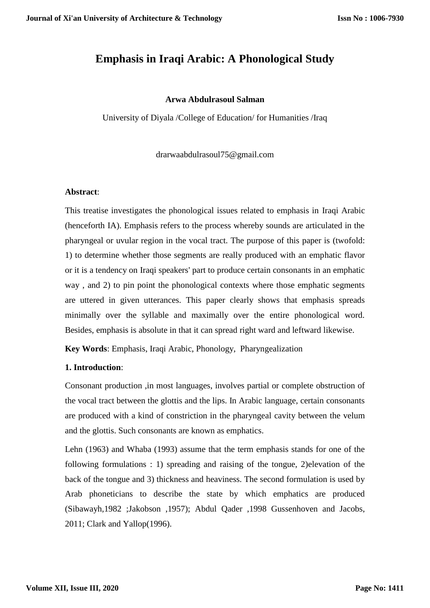# **Emphasis in Iraqi Arabic: A Phonological Study**

#### **Arwa Abdulrasoul Salman**

University of Diyala /College of Education/ for Humanities /Iraq

drarwaabdulrasoul75@gmail.com

#### **Abstract**:

This treatise investigates the phonological issues related to emphasis in Iraqi Arabic (henceforth IA). Emphasis refers to the process whereby sounds are articulated in the pharyngeal or uvular region in the vocal tract. The purpose of this paper is (twofold: 1) to determine whether those segments are really produced with an emphatic flavor or it is a tendency on Iraqi speakers' part to produce certain consonants in an emphatic way , and 2) to pin point the phonological contexts where those emphatic segments are uttered in given utterances. This paper clearly shows that emphasis spreads minimally over the syllable and maximally over the entire phonological word. Besides, emphasis is absolute in that it can spread right ward and leftward likewise.

**Key Words**: Emphasis, Iraqi Arabic, Phonology, Pharyngealization

#### **1. Introduction**:

Consonant production ,in most languages, involves partial or complete obstruction of the vocal tract between the glottis and the lips. In Arabic language, certain consonants are produced with a kind of constriction in the pharyngeal cavity between the velum and the glottis. Such consonants are known as emphatics.

Lehn (1963) and Whaba (1993) assume that the term emphasis stands for one of the following formulations : 1) spreading and raising of the tongue, 2)elevation of the back of the tongue and 3) thickness and heaviness. The second formulation is used by Arab phoneticians to describe the state by which emphatics are produced (Sibawayh,1982 ;Jakobson ,1957); Abdul Qader ,1998 Gussenhoven and Jacobs, 2011; Clark and Yallop(1996).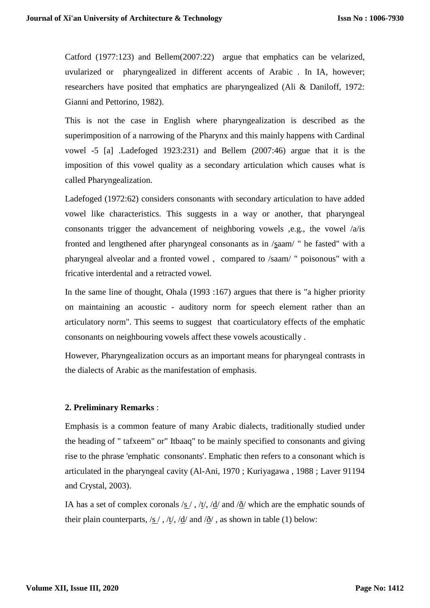Catford (1977:123) and Bellem(2007:22) argue that emphatics can be velarized, uvularized or pharyngealized in different accents of Arabic . In IA, however; researchers have posited that emphatics are pharyngealized (Ali & Daniloff, 1972: Gianni and Pettorino, 1982).

This is not the case in English where pharyngealization is described as the superimposition of a narrowing of the Pharynx and this mainly happens with Cardinal vowel -5 [a] .Ladefoged 1923:231) and Bellem (2007:46) argue that it is the imposition of this vowel quality as a secondary articulation which causes what is called Pharyngealization.

Ladefoged (1972:62) considers consonants with secondary articulation to have added vowel like characteristics. This suggests in a way or another, that pharyngeal consonants trigger the advancement of neighboring vowels ,e.g., the vowel /a/is fronted and lengthened after pharyngeal consonants as in /saam/ " he fasted" with a pharyngeal alveolar and a fronted vowel , compared to /saam/ " poisonous" with a fricative interdental and a retracted vowel.

In the same line of thought, Ohala (1993 :167) argues that there is "a higher priority on maintaining an acoustic - auditory norm for speech element rather than an articulatory norm". This seems to suggest that coarticulatory effects of the emphatic consonants on neighbouring vowels affect these vowels acoustically .

However, Pharyngealization occurs as an important means for pharyngeal contrasts in the dialects of Arabic as the manifestation of emphasis.

#### **2. Preliminary Remarks** :

Emphasis is a common feature of many Arabic dialects, traditionally studied under the heading of " tafxeem" or" Itbaaq" to be mainly specified to consonants and giving rise to the phrase 'emphatic consonants'. Emphatic then refers to a consonant which is articulated in the pharyngeal cavity (Al-Ani, 1970 ; Kuriyagawa , 1988 ; Laver 91194 and Crystal, 2003).

IA has a set of complex coronals /s / , /t/, /d/ and / $\delta$ / which are the emphatic sounds of their plain counterparts, /s /, /t/, /d/ and / $\delta$ /, as shown in table (1) below: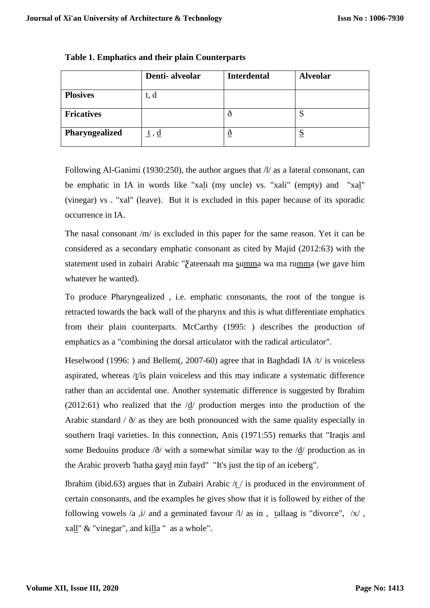|                   | Denti-alveolar      | <b>Interdental</b> | <b>Alveolar</b> |
|-------------------|---------------------|--------------------|-----------------|
| <b>Plosives</b>   | t, d                |                    |                 |
| <b>Fricatives</b> |                     |                    | S               |
| Pharyngealized    | <u>t</u> , <u>d</u> | ð                  | <u>ച</u>        |

### **Table 1. Emphatics and their plain Counterparts**

Following Al-Ganimi (1930:250), the author argues that  $\Lambda$  as a lateral consonant, can be emphatic in IA in words like "xali (my uncle) vs. "xali" (empty) and "xal" (vinegar) vs . "xal" (leave). But it is excluded in this paper because of its sporadic occurrence in IA.

The nasal consonant /m/ is excluded in this paper for the same reason. Yet it can be considered as a secondary emphatic consonant as cited by Majid (2012:63) with the statement used in zubairi Arabic "∑ateenaah ma summa wa ma rumma (we gave him whatever he wanted).

To produce Pharyngealized , i.e. emphatic consonants, the root of the tongue is retracted towards the back wall of the pharynx and this is what differentiate emphatics from their plain counterparts. McCarthy (1995: ) describes the production of emphatics as a "combining the dorsal articulator with the radical articulator".

Heselwood (1996: ) and Bellem(, 2007-60) agree that in Baghdadi IA /t/ is voiceless aspirated, whereas /t/is plain voiceless and this may indicate a systematic difference rather than an accidental one. Another systematic difference is suggested by Ibrahim (2012:61) who realized that the /d/ production merges into the production of the Arabic standard  $\ell \delta$  as they are both pronounced with the same quality especially in southern Iraqi varieties. In this connection, Anis (1971:55) remarks that "Iraqis and some Bedouins produce /ð/ with a somewhat similar way to the /d/ production as in the Arabic proverb 'hatha gayd min fayd" "It's just the tip of an iceberg".

Ibrahim (ibid.63) argues that in Zubairi Arabic  $\frac{1}{1}$  is produced in the environment of certain consonants, and the examples he gives show that it is followed by either of the following vowels /a ,i/ and a geminated favour  $\frac{1}{a}$  as in , tallaag is "divorce",  $\frac{1}{x}$ , xall" & "vinegar", and killa " as a whole".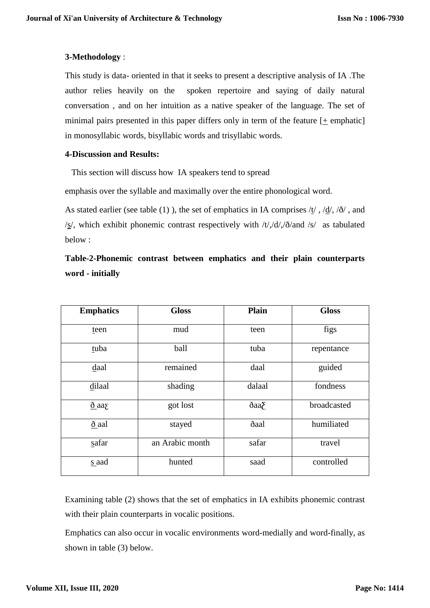### **3-Methodology** :

This study is data- oriented in that it seeks to present a descriptive analysis of IA .The author relies heavily on the spoken repertoire and saying of daily natural conversation , and on her intuition as a native speaker of the language. The set of minimal pairs presented in this paper differs only in term of the feature  $[+$  emphatic] in monosyllabic words, bisyllabic words and trisyllabic words.

#### **4-Discussion and Results:**

This section will discuss how IA speakers tend to spread

emphasis over the syllable and maximally over the entire phonological word.

As stated earlier (see table (1)), the set of emphatics in IA comprises  $\langle \underline{t} / , \partial \underline{d} / , \partial \partial \rangle$ , and /s/, which exhibit phonemic contrast respectively with /t/,/d/,/ð/and /s/ as tabulated below :

# **Table-2-Phonemic contrast between emphatics and their plain counterparts word - initially**

| <b>Emphatics</b>    | <b>Gloss</b>    | <b>Plain</b>         | <b>Gloss</b> |
|---------------------|-----------------|----------------------|--------------|
| teen                | mud             | teen                 | figs         |
| tuba                | ball            | tuba                 | repentance   |
| daal                | remained        | daal                 | guided       |
| dilaal              | shading         | dalaal               | fondness     |
| $δ$ aa <sub>Σ</sub> | got lost        | $\delta$ aa $\delta$ | broadcasted  |
| ð aal               | stayed          | ðaal                 | humiliated   |
| safar               | an Arabic month | safar                | travel       |
| s aad               | hunted          | saad                 | controlled   |

Examining table (2) shows that the set of emphatics in IA exhibits phonemic contrast with their plain counterparts in vocalic positions.

Emphatics can also occur in vocalic environments word-medially and word-finally, as shown in table (3) below.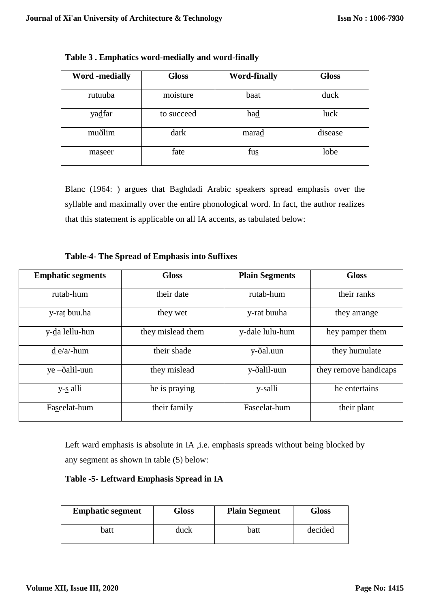| <b>Word</b> -medially | <b>Gloss</b> | <b>Word-finally</b> | <b>Gloss</b> |
|-----------------------|--------------|---------------------|--------------|
| rutuuba               | moisture     | baat                | duck         |
| yadfar                | to succeed   | had                 | luck         |
| muðlim                | dark         | marad               | disease      |
| maseer                | fate         | fus                 | lobe         |

**Table 3 . Emphatics word-medially and word-finally**

Blanc (1964: ) argues that Baghdadi Arabic speakers spread emphasis over the syllable and maximally over the entire phonological word. In fact, the author realizes that this statement is applicable on all IA accents, as tabulated below:

**Table-4- The Spread of Emphasis into Suffixes**

| <b>Emphatic segments</b> | <b>Gloss</b>      | <b>Plain Segments</b> | <b>Gloss</b>          |
|--------------------------|-------------------|-----------------------|-----------------------|
| rutab-hum                | their date        | rutab-hum             | their ranks           |
| y-rat buu.ha             | they wet          | y-rat buuha           | they arrange          |
| y-da lellu-hun           | they mislead them | y-dale lulu-hum       | hey pamper them       |
| $d e/a$ -hum             | their shade       | y-ðal.uun             | they humulate         |
| $ye -ðalil-uun$          | they mislead      | y-ðalil-uun           | they remove handicaps |
| y-s alli                 | he is praying     | y-salli               | he entertains         |
| Faseelat-hum             | their family      | Faseelat-hum          | their plant           |

Left ward emphasis is absolute in IA ,i.e. emphasis spreads without being blocked by any segment as shown in table (5) below:

# **Table -5- Leftward Emphasis Spread in IA**

| <b>Emphatic segment</b> | Gloss | <b>Plain Segment</b> | Gloss   |
|-------------------------|-------|----------------------|---------|
| batt                    | duck  | batt                 | decided |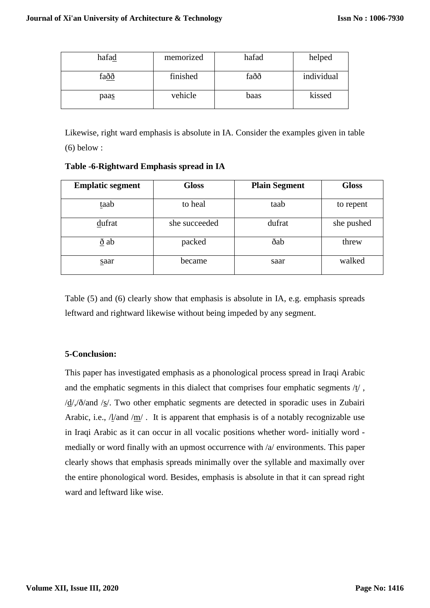| hafad | memorized | hafad | helped     |
|-------|-----------|-------|------------|
| faðð  | finished  | faðð  | individual |
| paas  | vehicle   | baas  | kissed     |

Likewise, right ward emphasis is absolute in IA. Consider the examples given in table (6) below :

**Table -6-Rightward Emphasis spread in IA**

| <b>Emplatic segment</b> | <b>Gloss</b>  | <b>Plain Segment</b> | <b>Gloss</b> |
|-------------------------|---------------|----------------------|--------------|
| taab                    | to heal       | taab                 | to repent    |
| dufrat                  | she succeeded | dufrat               | she pushed   |
| $\underline{\delta}$ ab | packed        | ðab                  | threw        |
| saar                    | became        | saar                 | walked       |

Table (5) and (6) clearly show that emphasis is absolute in IA, e.g. emphasis spreads leftward and rightward likewise without being impeded by any segment.

# **5-Conclusion:**

This paper has investigated emphasis as a phonological process spread in Iraqi Arabic and the emphatic segments in this dialect that comprises four emphatic segments /t/ ,  $\frac{d}{d}$ ,  $\delta$  and  $\frac{S}{s}$ . Two other emphatic segments are detected in sporadic uses in Zubairi Arabic, i.e.,  $\frac{1}{\text{and}}$  /m/. It is apparent that emphasis is of a notably recognizable use in Iraqi Arabic as it can occur in all vocalic positions whether word- initially word medially or word finally with an upmost occurrence with /a/ environments. This paper clearly shows that emphasis spreads minimally over the syllable and maximally over the entire phonological word. Besides, emphasis is absolute in that it can spread right ward and leftward like wise.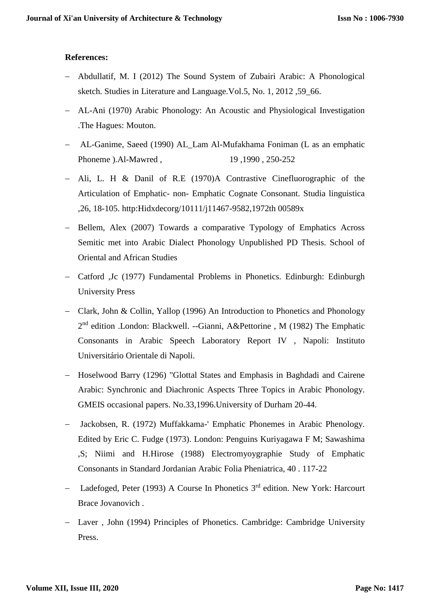## **References:**

- Abdullatif, M. I (2012) The Sound System of Zubairi Arabic: A Phonological sketch. Studies in Literature and Language.Vol.5, No. 1, 2012 ,59\_66.
- AL-Ani (1970) Arabic Phonology: An Acoustic and Physiological Investigation .The Hagues: Mouton.
- AL-Ganime, Saeed (1990) AL\_Lam Al-Mufakhama Foniman (L as an emphatic Phoneme ).Al-Mawred , 19,1990, 250-252
- Ali, L. H & Danil of R.E (1970)A Contrastive Cinefluorographic of the Articulation of Emphatic- non- Emphatic Cognate Consonant. Studia linguistica ,26, 18-105. http:Hidxdecorg/10111/j11467-9582,1972th 00589x
- Bellem, Alex (2007) Towards a comparative Typology of Emphatics Across Semitic met into Arabic Dialect Phonology Unpublished PD Thesis. School of Oriental and African Studies
- Catford ,Jc (1977) Fundamental Problems in Phonetics. Edinburgh: Edinburgh University Press
- Clark, John & Collin, Yallop (1996) An Introduction to Phonetics and Phonology 2<sup>nd</sup> edition .London: Blackwell. --Gianni, A&Pettorine, M (1982) The Emphatic Consonants in Arabic Speech Laboratory Report IV , Napoli: Instituto Universitário Orientale di Napoli.
- Hoselwood Barry (1296) "Glottal States and Emphasis in Baghdadi and Cairene Arabic: Synchronic and Diachronic Aspects Three Topics in Arabic Phonology. GMEIS occasional papers. No.33,1996.University of Durham 20-44.
- Jackobsen, R. (1972) Muffakkama-' Emphatic Phonemes in Arabic Phenology. Edited by Eric C. Fudge (1973). London: Penguins Kuriyagawa F M; Sawashima ,S; Niimi and H.Hirose (1988) Electromyoygraphie Study of Emphatic Consonants in Standard Jordanian Arabic Folia Pheniatrica, 40 . 117-22
- Ladefoged, Peter (1993) A Course In Phonetics 3<sup>rd</sup> edition. New York: Harcourt Brace Jovanovich .
- Laver, John (1994) Principles of Phonetics. Cambridge: Cambridge University Press.